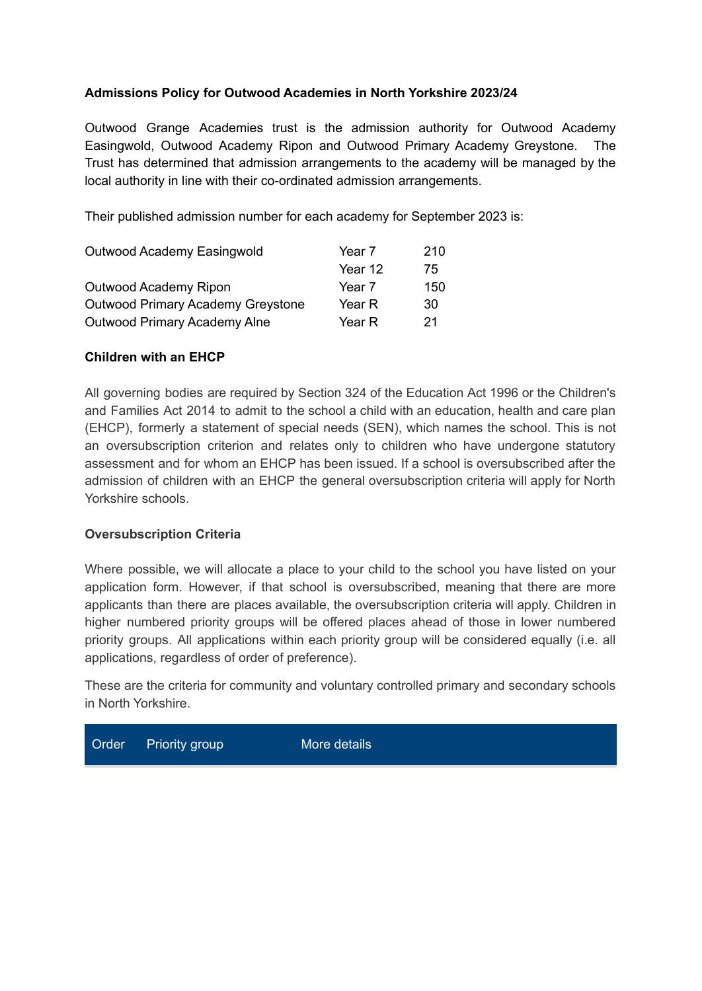## **Admissions Policy for Outwood Academies in North Yorkshire 2023/24**

Outwood Grange Academies trust is the admission authority for Outwood Academy Easingwold, Outwood Academy Ripon and Outwood Primary Academy Greystone. The Trust has determined that admission arrangements to the academy will be managed by the local authority in line with their co-ordinated admission arrangements.

Their published admission number for each academy for September 2023 is:

| Outwood Academy Easingwold        | Year 7  | 210 |
|-----------------------------------|---------|-----|
|                                   | Year 12 | 75  |
| Outwood Academy Ripon             | Year 7  | 150 |
| Outwood Primary Academy Greystone | Year R  | 30  |
| Outwood Primary Academy Alne      | Year R  | 21  |

#### **Children with an EHCP**

All governing bodies are required by Section 324 of the Education Act 1996 or the Children's and Families Act 2014 to admit to the school a child with an education, health and care plan (EHCP), formerly a statement of special needs (SEN), which names the school. This is not an oversubscription criterion and relates only to children who have undergone statutory assessment and for whom an EHCP has been issued. If a school is oversubscribed after the admission of children with an EHCP the general oversubscription criteria will apply for North Yorkshire schools.

#### **Oversubscription Criteria**

Where possible, we will allocate a place to your child to the school you have listed on your application form. However, if that school is oversubscribed, meaning that there are more applicants than there are places available, the oversubscription criteria will apply. Children in higher numbered priority groups will be offered places ahead of those in lower numbered priority groups. All applications within each priority group will be considered equally (i.e. all applications, regardless of order of preference).

These are the criteria for community and voluntary controlled primary and secondary schools in North Yorkshire.

lore details

| Order | <b>Priority group</b> | M |
|-------|-----------------------|---|
|-------|-----------------------|---|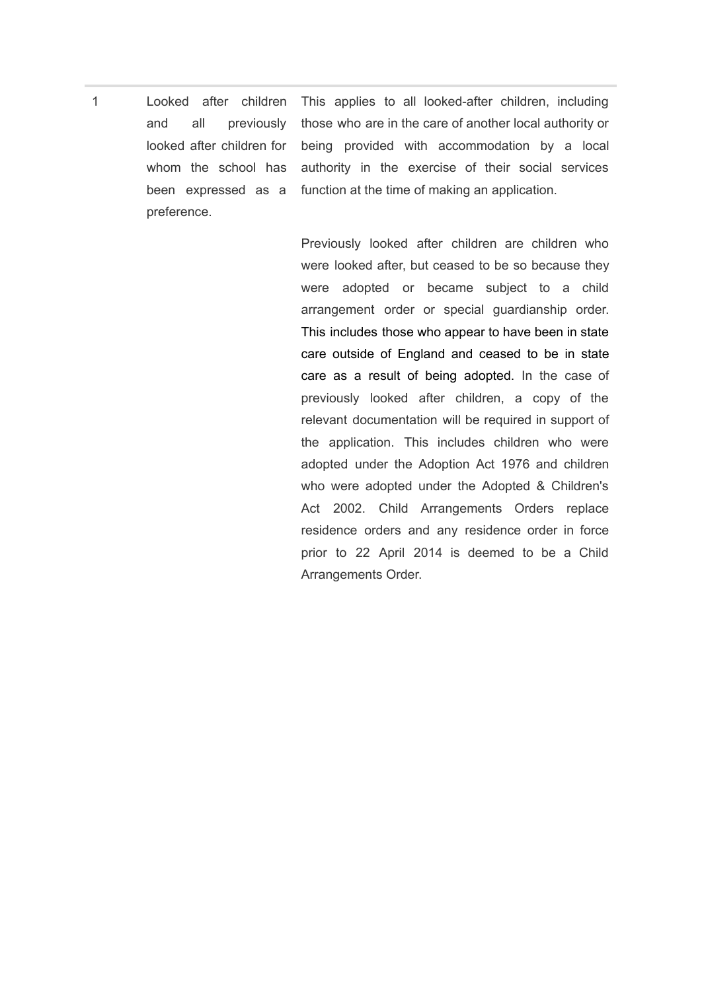1 Looked after children and all previously looked after children for whom the school has been expressed as a preference. This applies to all looked-after children, including those who are in the care of another local authority or being provided with accommodation by a local authority in the exercise of their social services function at the time of making an application.

> Previously looked after children are children who were looked after, but ceased to be so because they were adopted or became subject to a child arrangement order or special guardianship order. This includes those who appear to have been in state care outside of England and ceased to be in state care as a result of being adopted. In the case of previously looked after children, a copy of the relevant documentation will be required in support of the application. This includes children who were adopted under the Adoption Act 1976 and children who were adopted under the Adopted & Children's Act 2002. Child Arrangements Orders replace residence orders and any residence order in force prior to 22 April 2014 is deemed to be a Child Arrangements Order.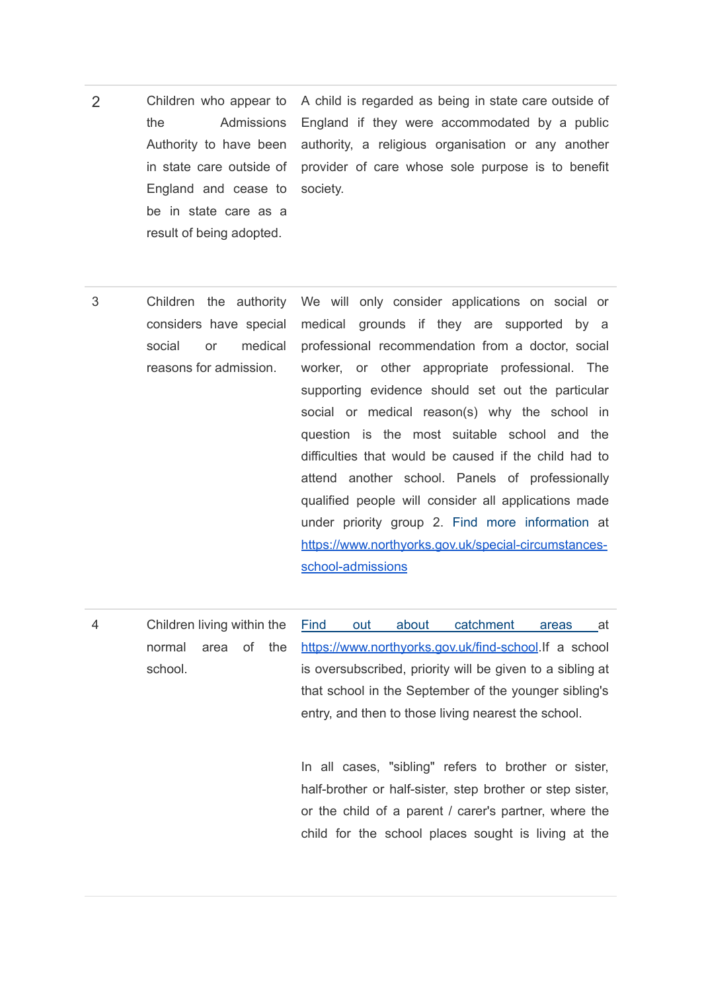- 2 Children who appear to the Admissions Authority to have been in state care outside of England and cease to be in state care as a result of being adopted. A child is regarded as being in state care outside of England if they were accommodated by a public authority, a religious organisation or any another provider of care whose sole purpose is to benefit society.
- 3 Children the authority considers have special social or medical reasons for admission. We will only consider applications on social or medical grounds if they are supported by a professional recommendation from a doctor, social worker, or other appropriate professional. The supporting evidence should set out the particular social or medical reason(s) why the school in question is the most suitable school and the difficulties that would be caused if the child had to attend another school. Panels of professionally qualified people will consider all applications made under priority group 2. Find more [information](https://www.northyorks.gov.uk/special-circumstances-school-admissions) at [https://www.northyorks.gov.uk/special-circumstances](https://www.northyorks.gov.uk/special-circumstances-school-admissions)[school-admissions](https://www.northyorks.gov.uk/special-circumstances-school-admissions)
- 4 Children living within the normal area of the school. Find out about [catchment](https://www.northyorks.gov.uk/find-school) areas at <https://www.northyorks.gov.uk/find-school>.If a school is oversubscribed, priority will be given to a sibling at that school in the September of the younger sibling's entry, and then to those living nearest the school.

In all cases, "sibling" refers to brother or sister, half-brother or half-sister, step brother or step sister, or the child of a parent / carer's partner, where the child for the school places sought is living at the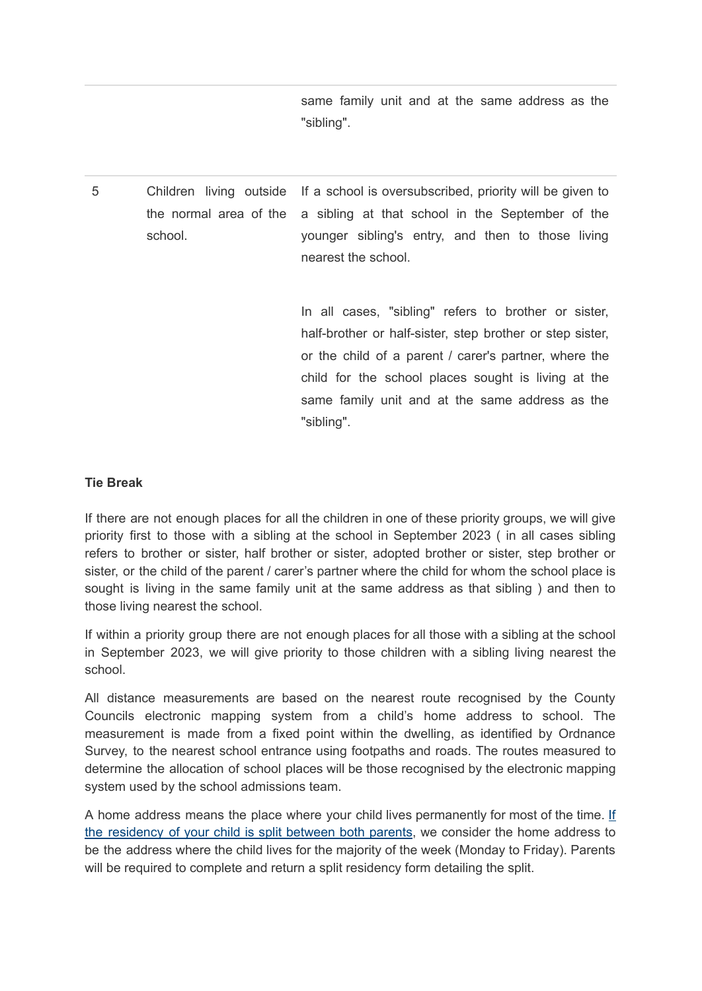same family unit and at the same address as the "sibling".

5 Children living outside the normal area of the school. If a school is oversubscribed, priority will be given to a sibling at that school in the September of the younger sibling's entry, and then to those living nearest the school.

> In all cases, "sibling" refers to brother or sister, half-brother or half-sister, step brother or step sister, or the child of a parent / carer's partner, where the child for the school places sought is living at the same family unit and at the same address as the "sibling".

#### **Tie Break**

If there are not enough places for all the children in one of these priority groups, we will give priority first to those with a sibling at the school in September 2023 ( in all cases sibling refers to brother or sister, half brother or sister, adopted brother or sister, step brother or sister, or the child of the parent / carer's partner where the child for whom the school place is sought is living in the same family unit at the same address as that sibling ) and then to those living nearest the school.

If within a priority group there are not enough places for all those with a sibling at the school in September 2023, we will give priority to those children with a sibling living nearest the school.

All distance measurements are based on the nearest route recognised by the County Councils electronic mapping system from a child's home address to school. The measurement is made from a fixed point within the dwelling, as identified by Ordnance Survey, to the nearest school entrance using footpaths and roads. The routes measured to determine the allocation of school places will be those recognised by the electronic mapping system used by the school admissions team.

A home address means the place where your child lives permanently for most of the time. [If](https://www.northyorks.gov.uk/special-circumstances-school-admissions) the [residency](https://www.northyorks.gov.uk/special-circumstances-school-admissions) of your child is split between both parents, we consider the home address to be the address where the child lives for the majority of the week (Monday to Friday). Parents will be required to complete and return a split residency form detailing the split.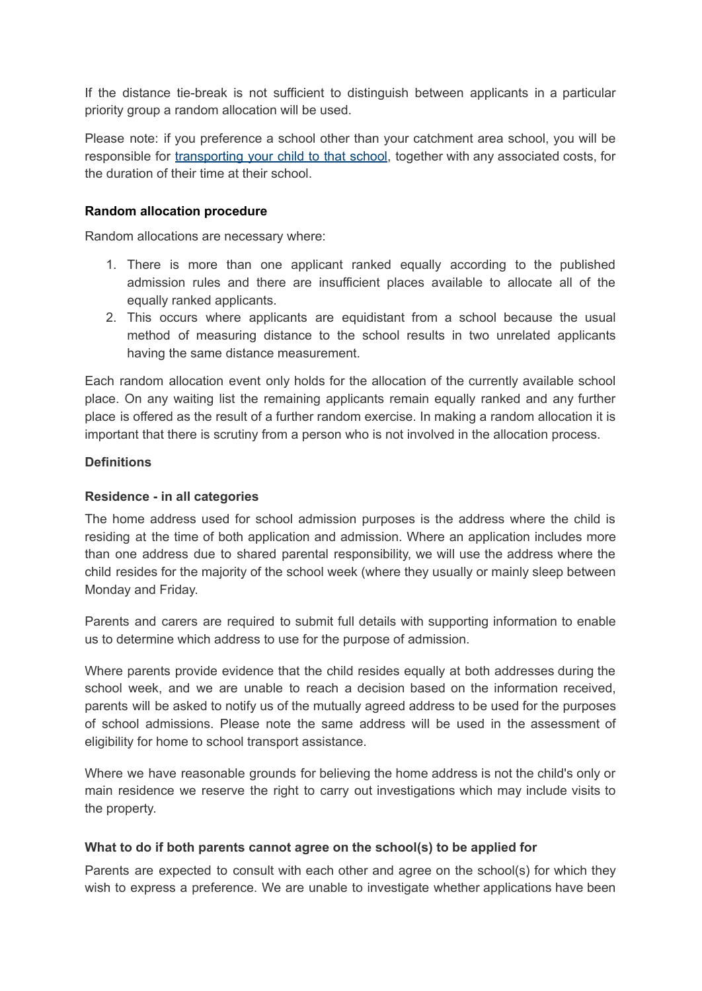If the distance tie-break is not sufficient to distinguish between applicants in a particular priority group a random allocation will be used.

Please note: if you preference a school other than your catchment area school, you will be responsible for [transporting](https://www.northyorks.gov.uk/school-transport-reception-year-11-children) your child to that school, together with any associated costs, for the duration of their time at their school.

### **Random allocation procedure**

Random allocations are necessary where:

- 1. There is more than one applicant ranked equally according to the published admission rules and there are insufficient places available to allocate all of the equally ranked applicants.
- 2. This occurs where applicants are equidistant from a school because the usual method of measuring distance to the school results in two unrelated applicants having the same distance measurement.

Each random allocation event only holds for the allocation of the currently available school place. On any waiting list the remaining applicants remain equally ranked and any further place is offered as the result of a further random exercise. In making a random allocation it is important that there is scrutiny from a person who is not involved in the allocation process.

### **Definitions**

### **Residence - in all categories**

The home address used for school admission purposes is the address where the child is residing at the time of both application and admission. Where an application includes more than one address due to shared parental responsibility, we will use the address where the child resides for the majority of the school week (where they usually or mainly sleep between Monday and Friday.

Parents and carers are required to submit full details with supporting information to enable us to determine which address to use for the purpose of admission.

Where parents provide evidence that the child resides equally at both addresses during the school week, and we are unable to reach a decision based on the information received, parents will be asked to notify us of the mutually agreed address to be used for the purposes of school admissions. Please note the same address will be used in the assessment of eligibility for home to school transport assistance.

Where we have reasonable grounds for believing the home address is not the child's only or main residence we reserve the right to carry out investigations which may include visits to the property.

#### **What to do if both parents cannot agree on the school(s) to be applied for**

Parents are expected to consult with each other and agree on the school(s) for which they wish to express a preference. We are unable to investigate whether applications have been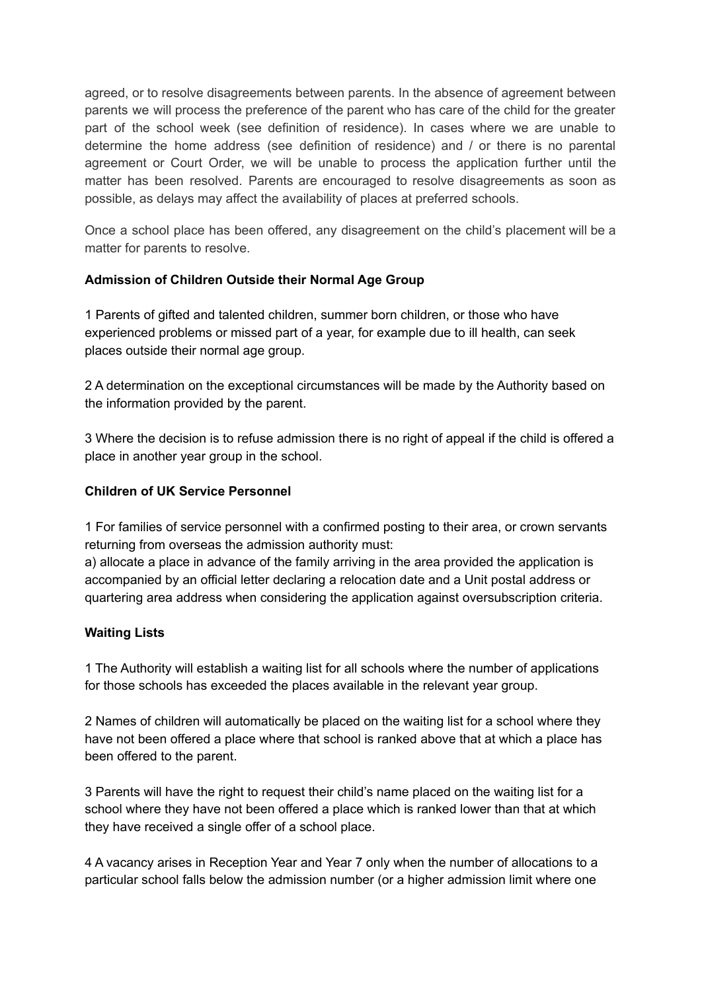agreed, or to resolve disagreements between parents. In the absence of agreement between parents we will process the preference of the parent who has care of the child for the greater part of the school week (see definition of residence). In cases where we are unable to determine the home address (see definition of residence) and / or there is no parental agreement or Court Order, we will be unable to process the application further until the matter has been resolved. Parents are encouraged to resolve disagreements as soon as possible, as delays may affect the availability of places at preferred schools.

Once a school place has been offered, any disagreement on the child's placement will be a matter for parents to resolve.

# **Admission of Children Outside their Normal Age Group**

1 Parents of gifted and talented children, summer born children, or those who have experienced problems or missed part of a year, for example due to ill health, can seek places outside their normal age group.

2 A determination on the exceptional circumstances will be made by the Authority based on the information provided by the parent.

3 Where the decision is to refuse admission there is no right of appeal if the child is offered a place in another year group in the school.

### **Children of UK Service Personnel**

1 For families of service personnel with a confirmed posting to their area, or crown servants returning from overseas the admission authority must:

a) allocate a place in advance of the family arriving in the area provided the application is accompanied by an official letter declaring a relocation date and a Unit postal address or quartering area address when considering the application against oversubscription criteria.

#### **Waiting Lists**

1 The Authority will establish a waiting list for all schools where the number of applications for those schools has exceeded the places available in the relevant year group.

2 Names of children will automatically be placed on the waiting list for a school where they have not been offered a place where that school is ranked above that at which a place has been offered to the parent.

3 Parents will have the right to request their child's name placed on the waiting list for a school where they have not been offered a place which is ranked lower than that at which they have received a single offer of a school place.

4 A vacancy arises in Reception Year and Year 7 only when the number of allocations to a particular school falls below the admission number (or a higher admission limit where one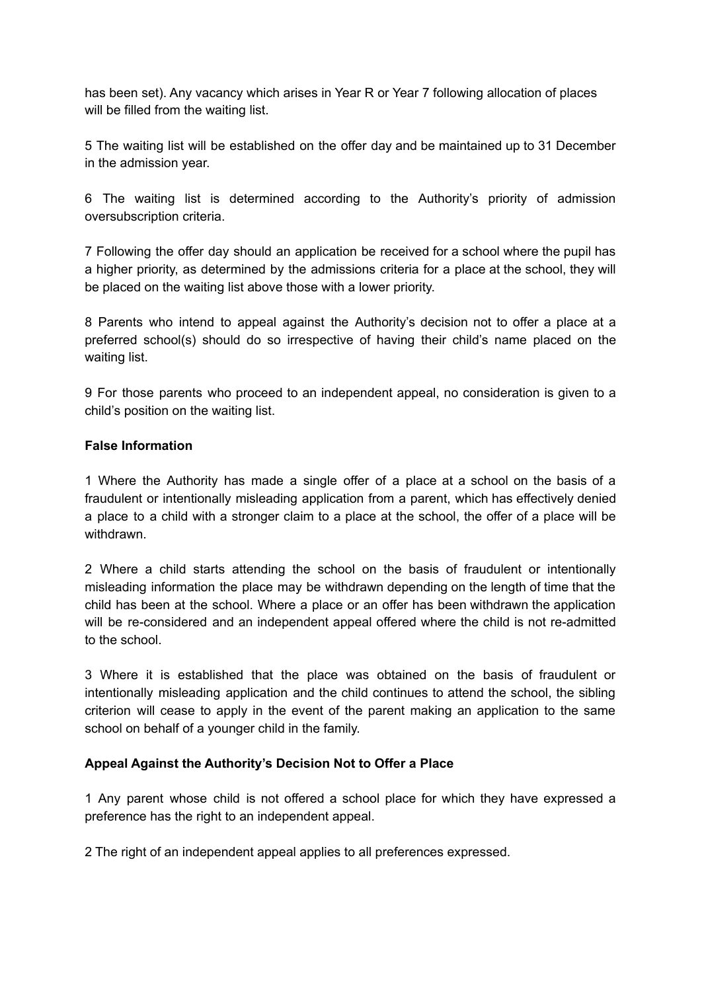has been set). Any vacancy which arises in Year R or Year 7 following allocation of places will be filled from the waiting list.

5 The waiting list will be established on the offer day and be maintained up to 31 December in the admission year.

6 The waiting list is determined according to the Authority's priority of admission oversubscription criteria.

7 Following the offer day should an application be received for a school where the pupil has a higher priority, as determined by the admissions criteria for a place at the school, they will be placed on the waiting list above those with a lower priority.

8 Parents who intend to appeal against the Authority's decision not to offer a place at a preferred school(s) should do so irrespective of having their child's name placed on the waiting list.

9 For those parents who proceed to an independent appeal, no consideration is given to a child's position on the waiting list.

# **False Information**

1 Where the Authority has made a single offer of a place at a school on the basis of a fraudulent or intentionally misleading application from a parent, which has effectively denied a place to a child with a stronger claim to a place at the school, the offer of a place will be withdrawn.

2 Where a child starts attending the school on the basis of fraudulent or intentionally misleading information the place may be withdrawn depending on the length of time that the child has been at the school. Where a place or an offer has been withdrawn the application will be re-considered and an independent appeal offered where the child is not re-admitted to the school.

3 Where it is established that the place was obtained on the basis of fraudulent or intentionally misleading application and the child continues to attend the school, the sibling criterion will cease to apply in the event of the parent making an application to the same school on behalf of a younger child in the family.

# **Appeal Against the Authority's Decision Not to Offer a Place**

1 Any parent whose child is not offered a school place for which they have expressed a preference has the right to an independent appeal.

2 The right of an independent appeal applies to all preferences expressed.